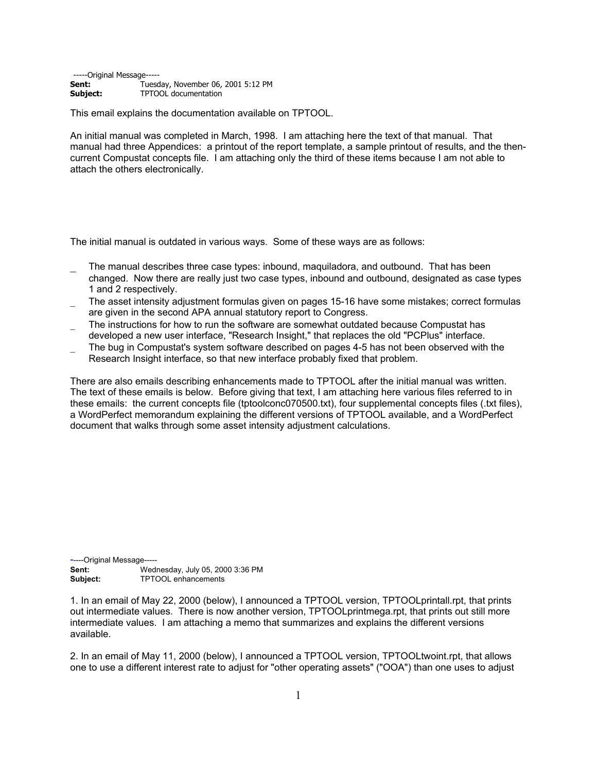-----Original Message--**Sent:** Tuesday, November 06, 2001 5:12 PM<br> **Subject:** TPTOOL documentation **Subject:** TPTOOL documentation

This email explains the documentation available on TPTOOL.

An initial manual was completed in March, 1998. I am attaching here the text of that manual. That manual had three Appendices: a printout of the report template, a sample printout of results, and the thencurrent Compustat concepts file. I am attaching only the third of these items because I am not able to attach the others electronically.

The initial manual is outdated in various ways. Some of these ways are as follows:

- \_ The manual describes three case types: inbound, maquiladora, and outbound. That has been changed. Now there are really just two case types, inbound and outbound, designated as case types 1 and 2 respectively.
- The asset intensity adjustment formulas given on pages 15-16 have some mistakes; correct formulas are given in the second APA annual statutory report to Congress.
- The instructions for how to run the software are somewhat outdated because Compustat has developed a new user interface, "Research Insight," that replaces the old "PCPlus" interface.
- \_ The bug in Compustat's system software described on pages 4-5 has not been observed with the Research Insight interface, so that new interface probably fixed that problem.

There are also emails describing enhancements made to TPTOOL after the initial manual was written. The text of these emails is below. Before giving that text, I am attaching here various files referred to in these emails: the current concepts file (tptoolconc070500.txt), four supplemental concepts files (.txt files), a WordPerfect memorandum explaining the different versions of TPTOOL available, and a WordPerfect document that walks through some asset intensity adjustment calculations.

-----Original Message----- **Sent:** Wednesday, July 05, 2000 3:36 PM<br> **Subject:** TPTOOL enhancements **Subject:** TPTOOL enhancements

1. In an email of May 22, 2000 (below), I announced a TPTOOL version, TPTOOLprintall.rpt, that prints out intermediate values. There is now another version, TPTOOLprintmega.rpt, that prints out still more intermediate values. I am attaching a memo that summarizes and explains the different versions available.

2. In an email of May 11, 2000 (below), I announced a TPTOOL version, TPTOOLtwoint.rpt, that allows one to use a different interest rate to adjust for "other operating assets" ("OOA") than one uses to adjust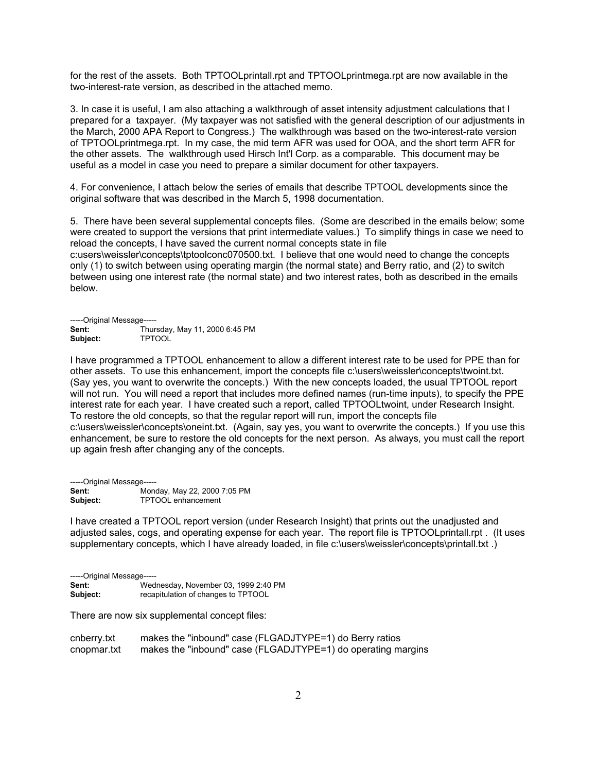for the rest of the assets. Both TPTOOLprintall.rpt and TPTOOLprintmega.rpt are now available in the two-interest-rate version, as described in the attached memo.

3. In case it is useful, I am also attaching a walkthrough of asset intensity adjustment calculations that I prepared for a taxpayer. (My taxpayer was not satisfied with the general description of our adjustments in the March, 2000 APA Report to Congress.) The walkthrough was based on the two-interest-rate version of TPTOOLprintmega.rpt. In my case, the mid term AFR was used for OOA, and the short term AFR for the other assets. The walkthrough used Hirsch Int'l Corp. as a comparable. This document may be useful as a model in case you need to prepare a similar document for other taxpayers.

4. For convenience, I attach below the series of emails that describe TPTOOL developments since the original software that was described in the March 5, 1998 documentation.

5. There have been several supplemental concepts files. (Some are described in the emails below; some were created to support the versions that print intermediate values.) To simplify things in case we need to reload the concepts, I have saved the current normal concepts state in file c:users\weissler\concepts\tptoolconc070500.txt. I believe that one would need to change the concepts only (1) to switch between using operating margin (the normal state) and Berry ratio, and (2) to switch between using one interest rate (the normal state) and two interest rates, both as described in the emails below.

-----Original Message----- **Sent:** Thursday, May 11, 2000 6:45 PM **Subject:** TPTOOL

I have programmed a TPTOOL enhancement to allow a different interest rate to be used for PPE than for other assets. To use this enhancement, import the concepts file c:\users\weissler\concepts\twoint.txt. (Say yes, you want to overwrite the concepts.) With the new concepts loaded, the usual TPTOOL report will not run. You will need a report that includes more defined names (run-time inputs), to specify the PPE interest rate for each year. I have created such a report, called TPTOOLtwoint, under Research Insight. To restore the old concepts, so that the regular report will run, import the concepts file c:\users\weissler\concepts\oneint.txt. (Again, say yes, you want to overwrite the concepts.) If you use this enhancement, be sure to restore the old concepts for the next person. As always, you must call the report up again fresh after changing any of the concepts.

-----Original Message----- **Sent:** Monday, May 22, 2000 7:05 PM<br> **Subject:** TPTOOL enhancement **Subject:** TPTOOL enhancement

I have created a TPTOOL report version (under Research Insight) that prints out the unadjusted and adjusted sales, cogs, and operating expense for each year. The report file is TPTOOLprintall.rpt . (It uses supplementary concepts, which I have already loaded, in file c:\users\weissler\concepts\printall.txt .)

| -----Original Message----- |                                      |  |
|----------------------------|--------------------------------------|--|
| Sent:                      | Wednesday, November 03, 1999 2:40 PM |  |
| Subject:                   | recapitulation of changes to TPTOOL  |  |

There are now six supplemental concept files:

| cnberry.txt | makes the "inbound" case (FLGADJTYPE=1) do Berry ratios      |
|-------------|--------------------------------------------------------------|
| cnopmar.txt | makes the "inbound" case (FLGADJTYPE=1) do operating margins |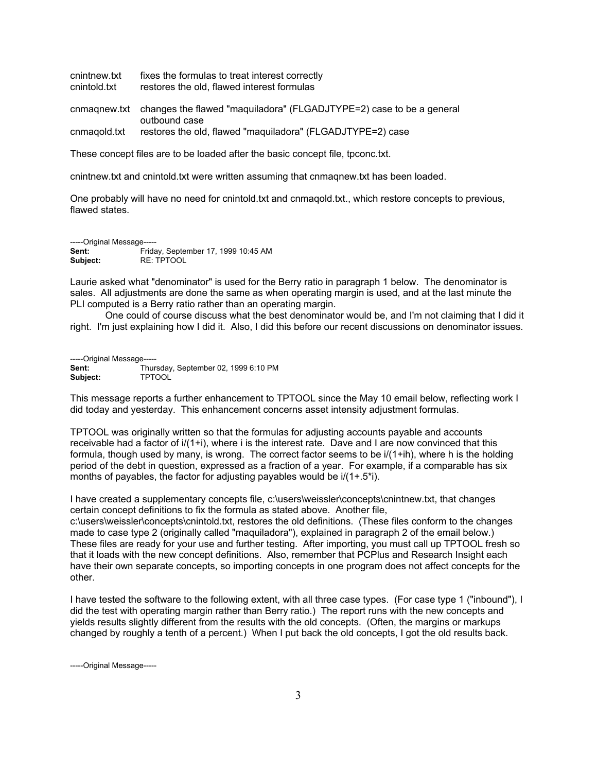cnintnew.txt fixes the formulas to treat interest correctly cnintold.txt restores the old, flawed interest formulas cnmaqnew.txt changes the flawed "maquiladora" (FLGADJTYPE=2) case to be a general outbound case cnmaqold.txt restores the old, flawed "maquiladora" (FLGADJTYPE=2) case

These concept files are to be loaded after the basic concept file, tpconc.txt.

cnintnew.txt and cnintold.txt were written assuming that cnmaqnew.txt has been loaded.

One probably will have no need for cnintold.txt and cnmaqold.txt., which restore concepts to previous, flawed states.

-----Original Message----- **Sent:** Friday, September 17, 1999 10:45 AM **Subject:** RE: TPTOOL

Laurie asked what "denominator" is used for the Berry ratio in paragraph 1 below. The denominator is sales. All adjustments are done the same as when operating margin is used, and at the last minute the PLI computed is a Berry ratio rather than an operating margin.

One could of course discuss what the best denominator would be, and I'm not claiming that I did it right. I'm just explaining how I did it. Also, I did this before our recent discussions on denominator issues.

-----Original Message----- **Sent:** Thursday, September 02, 1999 6:10 PM **Subject:** TPTOOL

This message reports a further enhancement to TPTOOL since the May 10 email below, reflecting work I did today and yesterday. This enhancement concerns asset intensity adjustment formulas.

TPTOOL was originally written so that the formulas for adjusting accounts payable and accounts receivable had a factor of i/(1+i), where i is the interest rate. Dave and I are now convinced that this formula, though used by many, is wrong. The correct factor seems to be i/(1+ih), where h is the holding period of the debt in question, expressed as a fraction of a year. For example, if a comparable has six months of payables, the factor for adjusting payables would be i/(1+.5\*i).

I have created a supplementary concepts file, c:\users\weissler\concepts\cnintnew.txt, that changes certain concept definitions to fix the formula as stated above. Another file,

c:\users\weissler\concepts\cnintold.txt, restores the old definitions. (These files conform to the changes made to case type 2 (originally called "maquiladora"), explained in paragraph 2 of the email below.) These files are ready for your use and further testing. After importing, you must call up TPTOOL fresh so that it loads with the new concept definitions. Also, remember that PCPlus and Research Insight each have their own separate concepts, so importing concepts in one program does not affect concepts for the other.

I have tested the software to the following extent, with all three case types. (For case type 1 ("inbound"), I did the test with operating margin rather than Berry ratio.) The report runs with the new concepts and yields results slightly different from the results with the old concepts. (Often, the margins or markups changed by roughly a tenth of a percent.) When I put back the old concepts, I got the old results back.

-----Original Message-----